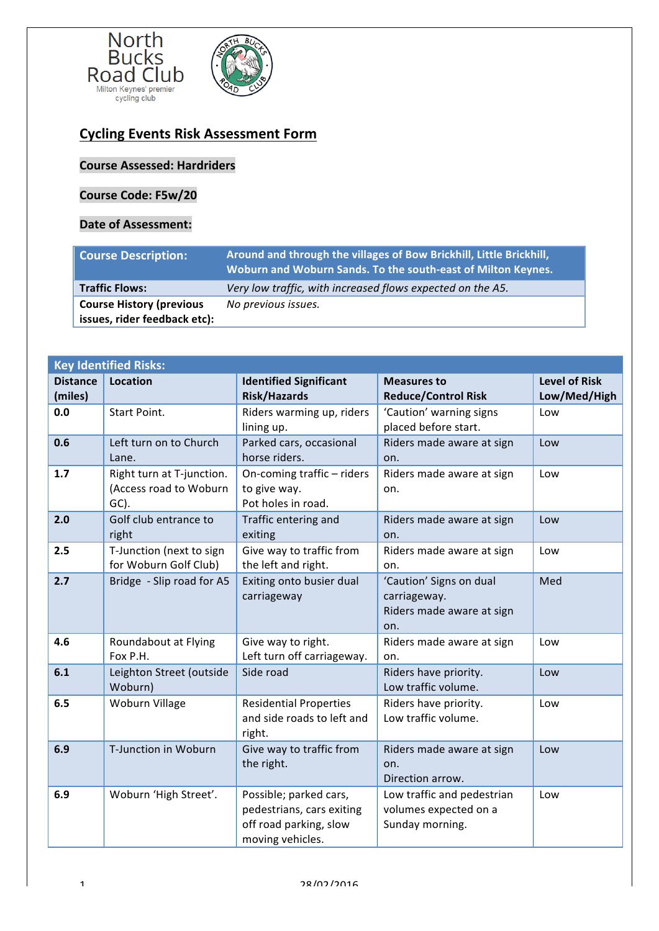

## **Cycling Events Risk Assessment Form**

## **Course Assessed: Hardriders**

## **Course Code: F5w/20**

## **Date of Assessment:**

| <b>Course Description:</b>      | Around and through the villages of Bow Brickhill, Little Brickhill,<br>Woburn and Woburn Sands. To the south-east of Milton Keynes. |
|---------------------------------|-------------------------------------------------------------------------------------------------------------------------------------|
| <b>Traffic Flows:</b>           | Very low traffic, with increased flows expected on the A5.                                                                          |
| <b>Course History (previous</b> | No previous issues.                                                                                                                 |
| issues, rider feedback etc):    |                                                                                                                                     |

| <b>Key Identified Risks:</b> |                                                             |                                                                                                   |                                                                             |                                      |  |  |  |
|------------------------------|-------------------------------------------------------------|---------------------------------------------------------------------------------------------------|-----------------------------------------------------------------------------|--------------------------------------|--|--|--|
| <b>Distance</b><br>(miles)   | <b>Location</b>                                             | <b>Identified Significant</b><br><b>Risk/Hazards</b>                                              | <b>Measures to</b><br><b>Reduce/Control Risk</b>                            | <b>Level of Risk</b><br>Low/Med/High |  |  |  |
| 0.0                          | <b>Start Point.</b>                                         | Riders warming up, riders<br>lining up.                                                           | 'Caution' warning signs<br>placed before start.                             | Low                                  |  |  |  |
| 0.6                          | Left turn on to Church<br>Lane.                             | Parked cars, occasional<br>horse riders.                                                          | Riders made aware at sign<br>on.                                            | Low                                  |  |  |  |
| 1.7                          | Right turn at T-junction.<br>(Access road to Woburn<br>GC). | On-coming traffic - riders<br>to give way.<br>Pot holes in road.                                  | Riders made aware at sign<br>on.                                            | Low                                  |  |  |  |
| 2.0                          | Golf club entrance to<br>right                              | Traffic entering and<br>exiting                                                                   | Riders made aware at sign<br>on.                                            | Low                                  |  |  |  |
| 2.5                          | T-Junction (next to sign<br>for Woburn Golf Club)           | Give way to traffic from<br>the left and right.                                                   | Riders made aware at sign<br>on.                                            | Low                                  |  |  |  |
| 2.7                          | Bridge - Slip road for A5                                   | Exiting onto busier dual<br>carriageway                                                           | 'Caution' Signs on dual<br>carriageway.<br>Riders made aware at sign<br>on. | Med                                  |  |  |  |
| 4.6                          | Roundabout at Flying<br>Fox P.H.                            | Give way to right.<br>Left turn off carriageway.                                                  | Riders made aware at sign<br>on.                                            | Low                                  |  |  |  |
| 6.1                          | Leighton Street (outside<br>Woburn)                         | Side road                                                                                         | Riders have priority.<br>Low traffic volume.                                | Low                                  |  |  |  |
| 6.5                          | <b>Woburn Village</b>                                       | <b>Residential Properties</b><br>and side roads to left and<br>right.                             | Riders have priority.<br>Low traffic volume.                                | Low                                  |  |  |  |
| 6.9                          | T-Junction in Woburn                                        | Give way to traffic from<br>the right.                                                            | Riders made aware at sign<br>on.<br>Direction arrow.                        | Low                                  |  |  |  |
| 6.9                          | Woburn 'High Street'.                                       | Possible; parked cars,<br>pedestrians, cars exiting<br>off road parking, slow<br>moving vehicles. | Low traffic and pedestrian<br>volumes expected on a<br>Sunday morning.      | Low                                  |  |  |  |